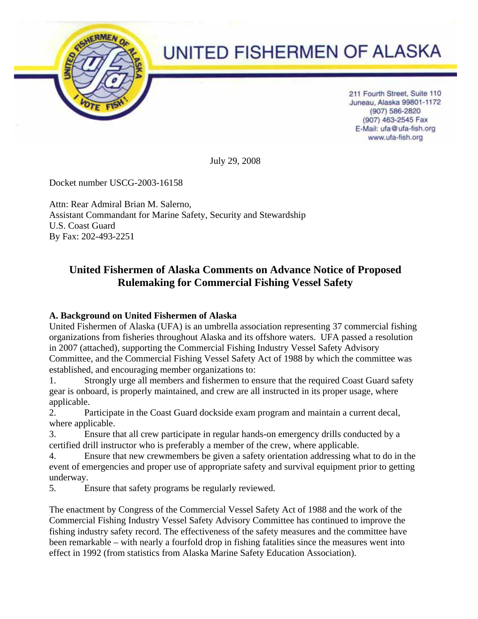

# UNITED FISHERMEN OF ALASKA

211 Fourth Street, Suite 110 Juneau, Alaska 99801-1172 (907) 586-2820 (907) 463-2545 Fax E-Mail: ufa@ufa-fish.org www.ufa-fish.org

July 29, 2008

Docket number USCG-2003-16158

Attn: Rear Admiral Brian M. Salerno, Assistant Commandant for Marine Safety, Security and Stewardship U.S. Coast Guard By Fax: 202-493-2251

# **United Fishermen of Alaska Comments on Advance Notice of Proposed Rulemaking for Commercial Fishing Vessel Safety**

# **A. Background on United Fishermen of Alaska**

United Fishermen of Alaska (UFA) is an umbrella association representing 37 commercial fishing organizations from fisheries throughout Alaska and its offshore waters. UFA passed a resolution in 2007 (attached), supporting the Commercial Fishing Industry Vessel Safety Advisory Committee, and the Commercial Fishing Vessel Safety Act of 1988 by which the committee was established, and encouraging member organizations to:

1. Strongly urge all members and fishermen to ensure that the required Coast Guard safety gear is onboard, is properly maintained, and crew are all instructed in its proper usage, where applicable.

2. Participate in the Coast Guard dockside exam program and maintain a current decal, where applicable.

3. Ensure that all crew participate in regular hands-on emergency drills conducted by a certified drill instructor who is preferably a member of the crew, where applicable.

4. Ensure that new crewmembers be given a safety orientation addressing what to do in the event of emergencies and proper use of appropriate safety and survival equipment prior to getting underway.

5. Ensure that safety programs be regularly reviewed.

The enactment by Congress of the Commercial Vessel Safety Act of 1988 and the work of the Commercial Fishing Industry Vessel Safety Advisory Committee has continued to improve the fishing industry safety record. The effectiveness of the safety measures and the committee have been remarkable – with nearly a fourfold drop in fishing fatalities since the measures went into effect in 1992 (from statistics from Alaska Marine Safety Education Association).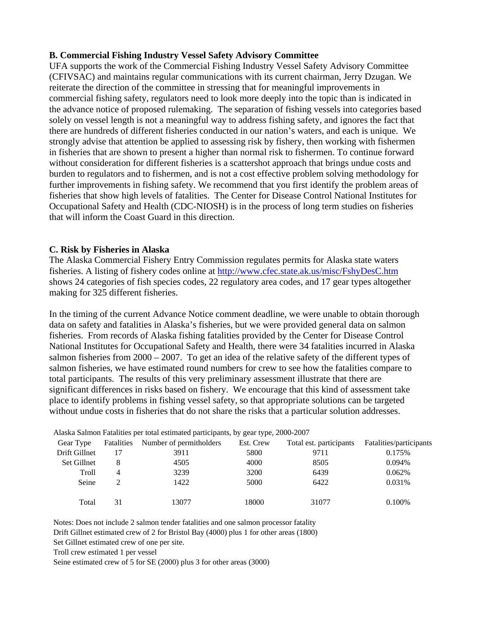#### **B. Commercial Fishing Industry Vessel Safety Advisory Committee**

UFA supports the work of the Commercial Fishing Industry Vessel Safety Advisory Committee (CFIVSAC) and maintains regular communications with its current chairman, Jerry Dzugan. We reiterate the direction of the committee in stressing that for meaningful improvements in commercial fishing safety, regulators need to look more deeply into the topic than is indicated in the advance notice of proposed rulemaking. The separation of fishing vessels into categories based solely on vessel length is not a meaningful way to address fishing safety, and ignores the fact that there are hundreds of different fisheries conducted in our nation's waters, and each is unique. We strongly advise that attention be applied to assessing risk by fishery, then working with fishermen in fisheries that are shown to present a higher than normal risk to fishermen. To continue forward without consideration for different fisheries is a scattershot approach that brings undue costs and burden to regulators and to fishermen, and is not a cost effective problem solving methodology for further improvements in fishing safety. We recommend that you first identify the problem areas of fisheries that show high levels of fatalities. The Center for Disease Control National Institutes for Occupational Safety and Health (CDC-NIOSH) is in the process of long term studies on fisheries that will inform the Coast Guard in this direction.

#### **C. Risk by Fisheries in Alaska**

The Alaska Commercial Fishery Entry Commission regulates permits for Alaska state waters fisheries. A listing of fishery codes online at http://www.cfec.state.ak.us/misc/FshyDesC.htm shows 24 categories of fish species codes, 22 regulatory area codes, and 17 gear types altogether making for 325 different fisheries.

In the timing of the current Advance Notice comment deadline, we were unable to obtain thorough data on safety and fatalities in Alaska's fisheries, but we were provided general data on salmon fisheries. From records of Alaska fishing fatalities provided by the Center for Disease Control National Institutes for Occupational Safety and Health, there were 34 fatalities incurred in Alaska salmon fisheries from 2000 – 2007. To get an idea of the relative safety of the different types of salmon fisheries, we have estimated round numbers for crew to see how the fatalities compare to total participants. The results of this very preliminary assessment illustrate that there are significant differences in risks based on fishery. We encourage that this kind of assessment take place to identify problems in fishing vessel safety, so that appropriate solutions can be targeted without undue costs in fisheries that do not share the risks that a particular solution addresses.

| Gear Type     | Fatalities | Number of permitholders | Est. Crew | Total est. participants | Fatalities/participants |
|---------------|------------|-------------------------|-----------|-------------------------|-------------------------|
| Drift Gillnet |            | 3911                    | 5800      | 9711                    | 0.175%                  |
| Set Gillnet   | 8          | 4505                    | 4000      | 8505                    | 0.094%                  |
| Troll         | 4          | 3239                    | 3200      | 6439                    | 0.062%                  |
| Seine         |            | 1422                    | 5000      | 6422                    | 0.031%                  |
|               |            |                         |           |                         |                         |
| Total         | 31         | 13077                   | 18000     | 31077                   | 0.100%                  |

Alaska Salmon Fatalities per total estimated participants, by gear type, 2000-2007

Notes: Does not include 2 salmon tender fatalities and one salmon processor fatality

Drift Gillnet estimated crew of 2 for Bristol Bay (4000) plus 1 for other areas (1800) Set Gillnet estimated crew of one per site.

Troll crew estimated 1 per vessel

Seine estimated crew of 5 for SE (2000) plus 3 for other areas (3000)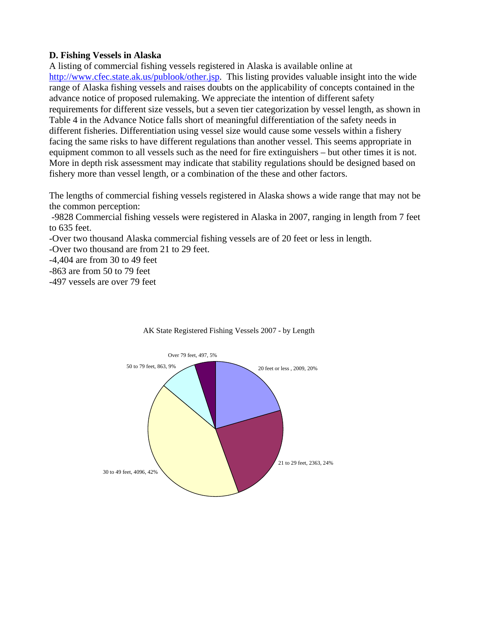## **D. Fishing Vessels in Alaska**

A listing of commercial fishing vessels registered in Alaska is available online at http://www.cfec.state.ak.us/publook/other.jsp. This listing provides valuable insight into the wide range of Alaska fishing vessels and raises doubts on the applicability of concepts contained in the advance notice of proposed rulemaking. We appreciate the intention of different safety requirements for different size vessels, but a seven tier categorization by vessel length, as shown in Table 4 in the Advance Notice falls short of meaningful differentiation of the safety needs in different fisheries. Differentiation using vessel size would cause some vessels within a fishery facing the same risks to have different regulations than another vessel. This seems appropriate in equipment common to all vessels such as the need for fire extinguishers – but other times it is not. More in depth risk assessment may indicate that stability regulations should be designed based on fishery more than vessel length, or a combination of the these and other factors.

The lengths of commercial fishing vessels registered in Alaska shows a wide range that may not be the common perception:

 -9828 Commercial fishing vessels were registered in Alaska in 2007, ranging in length from 7 feet to 635 feet.

-Over two thousand Alaska commercial fishing vessels are of 20 feet or less in length.

-Over two thousand are from 21 to 29 feet.

-4,404 are from 30 to 49 feet

-863 are from 50 to 79 feet

-497 vessels are over 79 feet



#### AK State Registered Fishing Vessels 2007 - by Length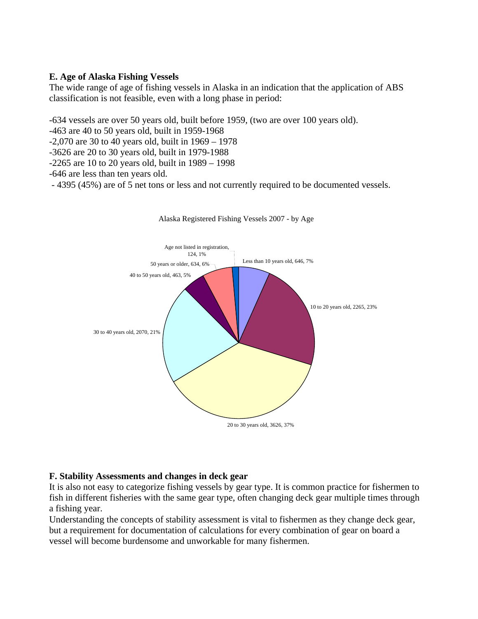# **E. Age of Alaska Fishing Vessels**

The wide range of age of fishing vessels in Alaska in an indication that the application of ABS classification is not feasible, even with a long phase in period:

-634 vessels are over 50 years old, built before 1959, (two are over 100 years old).

-463 are 40 to 50 years old, built in 1959-1968

 $-2,070$  are 30 to 40 years old, built in  $1969 - 1978$ 

-3626 are 20 to 30 years old, built in 1979-1988

-2265 are 10 to 20 years old, built in 1989 – 1998

-646 are less than ten years old.

- 4395 (45%) are of 5 net tons or less and not currently required to be documented vessels.



#### Alaska Registered Fishing Vessels 2007 - by Age

#### **F. Stability Assessments and changes in deck gear**

It is also not easy to categorize fishing vessels by gear type. It is common practice for fishermen to fish in different fisheries with the same gear type, often changing deck gear multiple times through a fishing year.

Understanding the concepts of stability assessment is vital to fishermen as they change deck gear, but a requirement for documentation of calculations for every combination of gear on board a vessel will become burdensome and unworkable for many fishermen.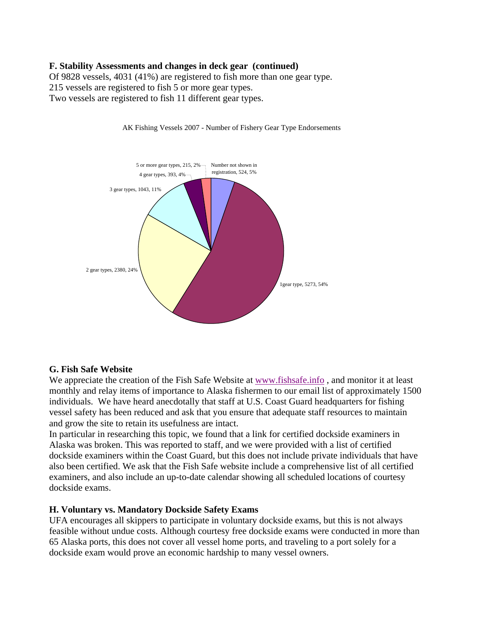# **F. Stability Assessments and changes in deck gear (continued)**

Of 9828 vessels, 4031 (41%) are registered to fish more than one gear type. 215 vessels are registered to fish 5 or more gear types. Two vessels are registered to fish 11 different gear types.



AK Fishing Vessels 2007 - Number of Fishery Gear Type Endorsements

#### **G. Fish Safe Website**

We appreciate the creation of the Fish Safe Website at www.fishsafe.info , and monitor it at least monthly and relay items of importance to Alaska fishermen to our email list of approximately 1500 individuals. We have heard anecdotally that staff at U.S. Coast Guard headquarters for fishing vessel safety has been reduced and ask that you ensure that adequate staff resources to maintain and grow the site to retain its usefulness are intact.

In particular in researching this topic, we found that a link for certified dockside examiners in Alaska was broken. This was reported to staff, and we were provided with a list of certified dockside examiners within the Coast Guard, but this does not include private individuals that have also been certified. We ask that the Fish Safe website include a comprehensive list of all certified examiners, and also include an up-to-date calendar showing all scheduled locations of courtesy dockside exams.

# **H. Voluntary vs. Mandatory Dockside Safety Exams**

UFA encourages all skippers to participate in voluntary dockside exams, but this is not always feasible without undue costs. Although courtesy free dockside exams were conducted in more than 65 Alaska ports, this does not cover all vessel home ports, and traveling to a port solely for a dockside exam would prove an economic hardship to many vessel owners.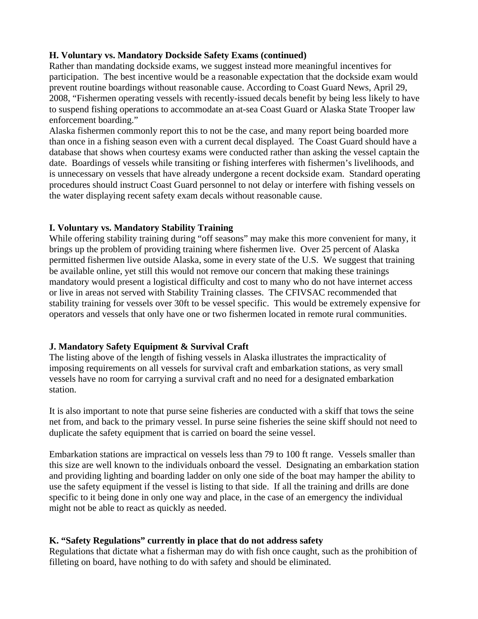# **H. Voluntary vs. Mandatory Dockside Safety Exams (continued)**

Rather than mandating dockside exams, we suggest instead more meaningful incentives for participation. The best incentive would be a reasonable expectation that the dockside exam would prevent routine boardings without reasonable cause. According to Coast Guard News, April 29, 2008, "Fishermen operating vessels with recently-issued decals benefit by being less likely to have to suspend fishing operations to accommodate an at-sea Coast Guard or Alaska State Trooper law enforcement boarding."

Alaska fishermen commonly report this to not be the case, and many report being boarded more than once in a fishing season even with a current decal displayed. The Coast Guard should have a database that shows when courtesy exams were conducted rather than asking the vessel captain the date. Boardings of vessels while transiting or fishing interferes with fishermen's livelihoods, and is unnecessary on vessels that have already undergone a recent dockside exam. Standard operating procedures should instruct Coast Guard personnel to not delay or interfere with fishing vessels on the water displaying recent safety exam decals without reasonable cause.

# **I. Voluntary vs. Mandatory Stability Training**

While offering stability training during "off seasons" may make this more convenient for many, it brings up the problem of providing training where fishermen live. Over 25 percent of Alaska permitted fishermen live outside Alaska, some in every state of the U.S. We suggest that training be available online, yet still this would not remove our concern that making these trainings mandatory would present a logistical difficulty and cost to many who do not have internet access or live in areas not served with Stability Training classes. The CFIVSAC recommended that stability training for vessels over 30ft to be vessel specific. This would be extremely expensive for operators and vessels that only have one or two fishermen located in remote rural communities.

# **J. Mandatory Safety Equipment & Survival Craft**

The listing above of the length of fishing vessels in Alaska illustrates the impracticality of imposing requirements on all vessels for survival craft and embarkation stations, as very small vessels have no room for carrying a survival craft and no need for a designated embarkation station.

It is also important to note that purse seine fisheries are conducted with a skiff that tows the seine net from, and back to the primary vessel. In purse seine fisheries the seine skiff should not need to duplicate the safety equipment that is carried on board the seine vessel.

Embarkation stations are impractical on vessels less than 79 to 100 ft range. Vessels smaller than this size are well known to the individuals onboard the vessel. Designating an embarkation station and providing lighting and boarding ladder on only one side of the boat may hamper the ability to use the safety equipment if the vessel is listing to that side. If all the training and drills are done specific to it being done in only one way and place, in the case of an emergency the individual might not be able to react as quickly as needed.

# **K. "Safety Regulations" currently in place that do not address safety**

Regulations that dictate what a fisherman may do with fish once caught, such as the prohibition of filleting on board, have nothing to do with safety and should be eliminated.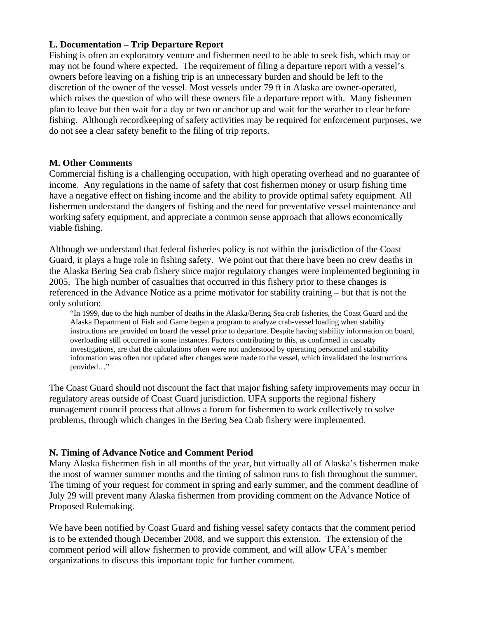#### **L. Documentation – Trip Departure Report**

Fishing is often an exploratory venture and fishermen need to be able to seek fish, which may or may not be found where expected. The requirement of filing a departure report with a vessel's owners before leaving on a fishing trip is an unnecessary burden and should be left to the discretion of the owner of the vessel. Most vessels under 79 ft in Alaska are owner-operated, which raises the question of who will these owners file a departure report with. Many fishermen plan to leave but then wait for a day or two or anchor up and wait for the weather to clear before fishing. Although recordkeeping of safety activities may be required for enforcement purposes, we do not see a clear safety benefit to the filing of trip reports.

#### **M. Other Comments**

Commercial fishing is a challenging occupation, with high operating overhead and no guarantee of income. Any regulations in the name of safety that cost fishermen money or usurp fishing time have a negative effect on fishing income and the ability to provide optimal safety equipment. All fishermen understand the dangers of fishing and the need for preventative vessel maintenance and working safety equipment, and appreciate a common sense approach that allows economically viable fishing.

Although we understand that federal fisheries policy is not within the jurisdiction of the Coast Guard, it plays a huge role in fishing safety. We point out that there have been no crew deaths in the Alaska Bering Sea crab fishery since major regulatory changes were implemented beginning in 2005. The high number of casualties that occurred in this fishery prior to these changes is referenced in the Advance Notice as a prime motivator for stability training – but that is not the only solution:

"In 1999, due to the high number of deaths in the Alaska/Bering Sea crab fisheries, the Coast Guard and the Alaska Department of Fish and Game began a program to analyze crab-vessel loading when stability instructions are provided on board the vessel prior to departure. Despite having stability information on board, overloading still occurred in some instances. Factors contributing to this, as confirmed in casualty investigations, are that the calculations often were not understood by operating personnel and stability information was often not updated after changes were made to the vessel, which invalidated the instructions provided…"

The Coast Guard should not discount the fact that major fishing safety improvements may occur in regulatory areas outside of Coast Guard jurisdiction. UFA supports the regional fishery management council process that allows a forum for fishermen to work collectively to solve problems, through which changes in the Bering Sea Crab fishery were implemented.

# **N. Timing of Advance Notice and Comment Period**

Many Alaska fishermen fish in all months of the year, but virtually all of Alaska's fishermen make the most of warmer summer months and the timing of salmon runs to fish throughout the summer. The timing of your request for comment in spring and early summer, and the comment deadline of July 29 will prevent many Alaska fishermen from providing comment on the Advance Notice of Proposed Rulemaking.

We have been notified by Coast Guard and fishing vessel safety contacts that the comment period is to be extended though December 2008, and we support this extension. The extension of the comment period will allow fishermen to provide comment, and will allow UFA's member organizations to discuss this important topic for further comment.